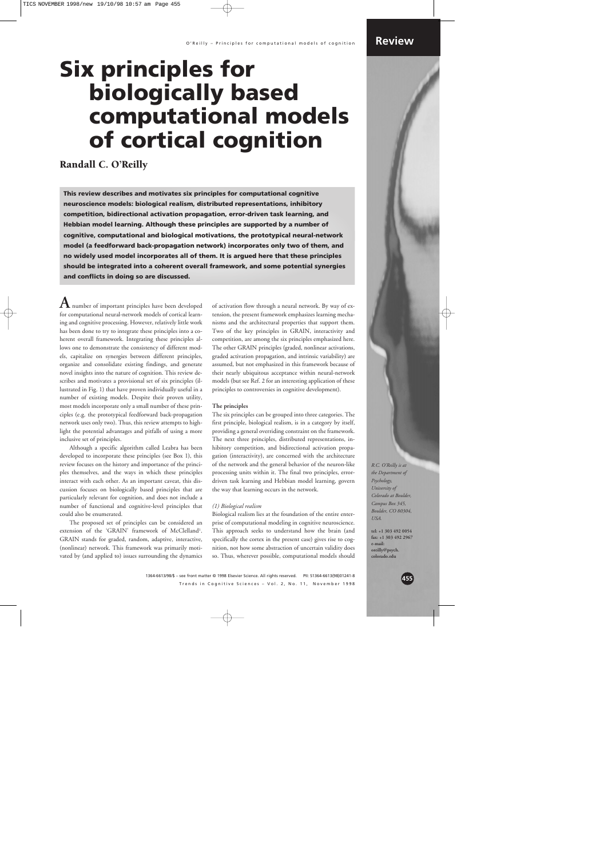# **Six principles for biologically based computational models of cortical cognition**

Randall C. O'Reilly

**This review describes and motivates six principles for computational cognitive neuroscience models: biological realism, distributed representations, inhibitory competition, bidirectional activation propagation, error-driven task learning, and Hebbian model learning. Although these principles are supported by a number of cognitive, computational and biological motivations, the prototypical neural-network model (a feedforward back-propagation network) incorporates only two of them, and no widely used model incorporates all of them. It is argued here that these principles should be integrated into a coherent overall framework, and some potential synergies and conflicts in doing so are discussed.**

 ${\bf A}$  number of important principles have been developed for computational neural-network models of cortical learning and cognitive processing. However, relatively little work has been done to try to integrate these principles into a coherent overall framework. Integrating these principles allows one to demonstrate the consistency of different models, capitalize on synergies between different principles, organize and consolidate existing findings, and generate novel insights into the nature of cognition. This review describes and motivates a provisional set of six principles (illustrated in Fig. 1) that have proven individually useful in a number of existing models. Despite their proven utility, most models incorporate only a small number of these principles (e.g. the prototypical feedforward back-propagation network uses only two). Thus, this review attempts to highlight the potential advantages and pitfalls of using a more inclusive set of principles.

Although a specific algorithm called Leabra has been developed to incorporate these principles (see Box 1), this review focuses on the history and importance of the principles themselves, and the ways in which these principles interact with each other. As an important caveat, this discussion focuses on biologically based principles that are particularly relevant for cognition, and does not include a number of functional and cognitive-level principles that could also be enumerated.

The proposed set of principles can be considered an extension of the 'GRAIN' framework of McClelland<sup>1</sup>. GRAIN stands for graded, random, adaptive, interactive, (nonlinear) network. This framework was primarily motivated by (and applied to) issues surrounding the dynamics of activation flow through a neural network. By way of extension, the present framework emphasizes learning mechanisms and the architectural properties that support them. Two of the key principles in GRAIN, interactivity and competition, are among the six principles emphasized here. The other GRAIN principles (graded, nonlinear activations, graded activation propagation, and intrinsic variability) are assumed, but not emphasized in this framework because of their nearly ubiquitous acceptance within neural-network models (but see Ref. 2 for an interesting application of these principles to controversies in cognitive development).

## **The principles**

The six principles can be grouped into three categories. The first principle, biological realism, is in a category by itself, providing a general overriding constraint on the framework. The next three principles, distributed representations, inhibitory competition, and bidirectional activation propagation (interactivity), are concerned with the architecture of the network and the general behavior of the neuron-like processing units within it. The final two principles, errordriven task learning and Hebbian model learning, govern the way that learning occurs in the network.

## *(1) Biological realism*

Biological realism lies at the foundation of the entire enterprise of computational modeling in cognitive neuroscience. This approach seeks to understand how the brain (and specifically the cortex in the present case) gives rise to cognition, not how some abstraction of uncertain validity does so. Thus, wherever possible, computational models should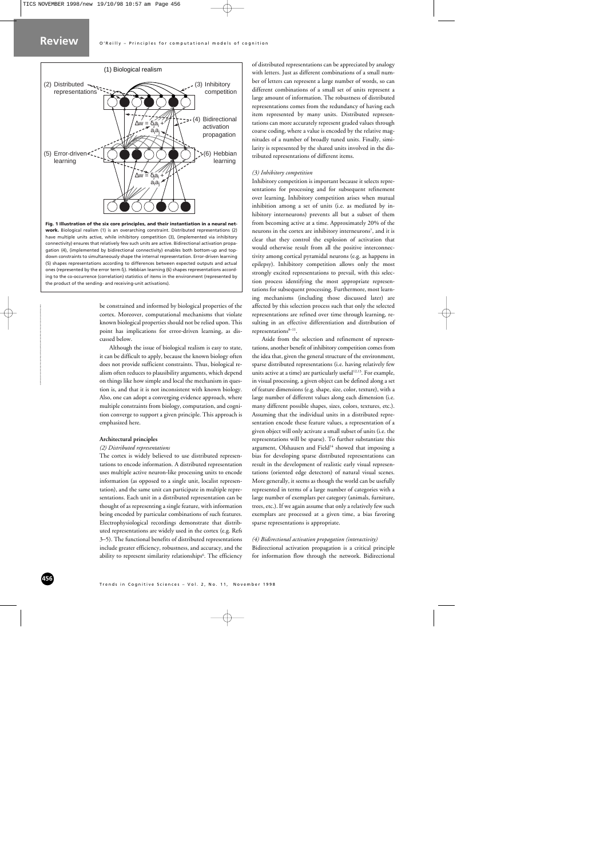

**Fig. 1 Illustration of the six core principles, and their instantiation in a neural network.** Biological realism (1) is an overarching constraint. Distributed representations (2) have multiple units active, while inhibitory competition (3), (implemented via inhibitory connectivity) ensures that relatively few such units are active. Bidirectional activation propagation (4), (implemented by bidirectional connectivity) enables both bottom-up and topdown constraints to simultaneously shape the internal representation. Error-driven learning (5) shapes representations according to differences between expected outputs and actual ones (represented by the error term  $\delta_i$ ). Hebbian learning (6) shapes representations according to the co-occurrence (correlation) statistics of items in the environment (represented by the product of the sending- and receiving-unit activations).

be constrained and informed by biological properties of the cortex. Moreover, computational mechanisms that violate known biological properties should not be relied upon. This point has implications for error-driven learning, as discussed below.

Although the issue of biological realism is easy to state, it can be difficult to apply, because the known biology often does not provide sufficient constraints. Thus, biological realism often reduces to plausibility arguments, which depend on things like how simple and local the mechanism in question is, and that it is not inconsistent with known biology. Also, one can adopt a converging evidence approach, where multiple constraints from biology, computation, and cognition converge to support a given principle. This approach is emphasized here.

#### **Architectural principles**

#### *(2) Distributed representations*

The cortex is widely believed to use distributed representations to encode information. A distributed representation uses multiple active neuron-like processing units to encode information (as opposed to a single unit, localist representation), and the same unit can participate in multiple representations. Each unit in a distributed representation can be thought of as representing a single feature, with information being encoded by particular combinations of such features. Electrophysiological recordings demonstrate that distributed representations are widely used in the cortex (e.g. Refs 3–5). The functional benefits of distributed representations include greater efficiency, robustness, and accuracy, and the ability to represent similarity relationships<sup>6</sup>. The efficiency

of distributed representations can be appreciated by analogy with letters. Just as different combinations of a small number of letters can represent a large number of words, so can different combinations of a small set of units represent a large amount of information. The robustness of distributed representations comes from the redundancy of having each item represented by many units. Distributed representations can more accurately represent graded values through coarse coding, where a value is encoded by the relative magnitudes of a number of broadly tuned units. Finally, similarity is represented by the shared units involved in the distributed representations of different items.

# *(3) Inhibitory competition*

Inhibitory competition is important because it selects representations for processing and for subsequent refinement over learning. Inhibitory competition arises when mutual inhibition among a set of units (i.e. as mediated by inhibitory interneurons) prevents all but a subset of them from becoming active at a time. Approximately 20% of the neurons in the cortex are inhibitory interneurons<sup>7</sup>, and it is clear that they control the explosion of activation that would otherwise result from all the positive interconnectivity among cortical pyramidal neurons (e.g. as happens in epilepsy). Inhibitory competition allows only the most strongly excited representations to prevail, with this selection process identifying the most appropriate representations for subsequent processing. Furthermore, most learning mechanisms (including those discussed later) are affected by this selection process such that only the selected representations are refined over time through learning, resulting in an effective differentiation and distribution of representations8-11.

Aside from the selection and refinement of representations, another benefit of inhibitory competition comes from the idea that, given the general structure of the environment, sparse distributed representations (i.e. having relatively few units active at a time) are particularly useful<sup>12,13</sup>. For example, in visual processing, a given object can be defined along a set of feature dimensions (e.g. shape, size, color, texture), with a large number of different values along each dimension (i.e. many different possible shapes, sizes, colors, textures, etc.). Assuming that the individual units in a distributed representation encode these feature values, a representation of a given object will only activate a small subset of units (i.e. the representations will be sparse). To further substantiate this argument, Olshausen and Field<sup>14</sup> showed that imposing a bias for developing sparse distributed representations can result in the development of realistic early visual representations (oriented edge detectors) of natural visual scenes. More generally, it seems as though the world can be usefully represented in terms of a large number of categories with a large number of exemplars per category (animals, furniture, trees, etc.). If we again assume that only a relatively few such exemplars are processed at a given time, a bias favoring sparse representations is appropriate.

# *(4) Bidirectional activation propagation (interactivity)*

Bidirectional activation propagation is a critical principle for information flow through the network. Bidirectional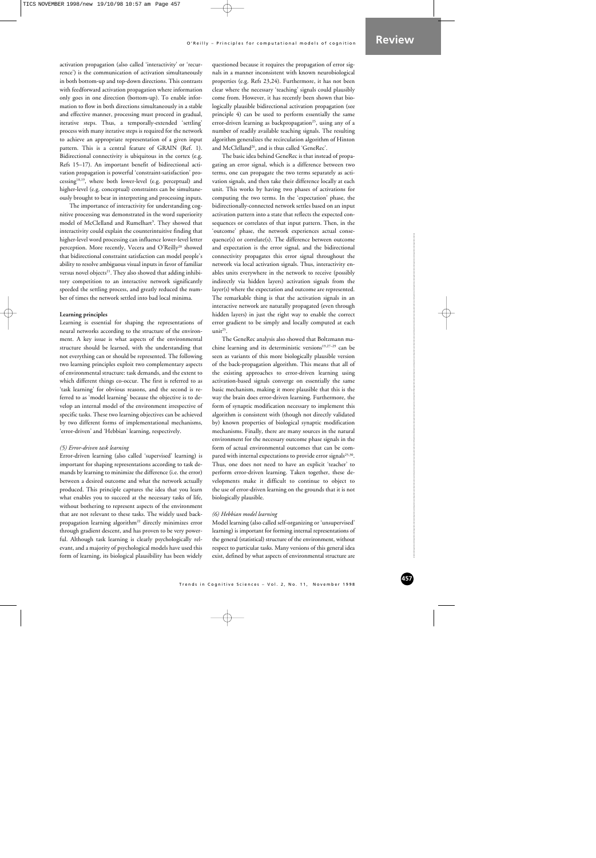activation propagation (also called 'interactivity' or 'recurrence') is the communication of activation simultaneously in both bottom-up and top-down directions. This contrasts with feedforward activation propagation where information only goes in one direction (bottom-up). To enable information to flow in both directions simultaneously in a stable and effective manner, processing must proceed in gradual, iterative steps. Thus, a temporally-extended 'settling' process with many iterative steps is required for the network to achieve an appropriate representation of a given input pattern. This is a central feature of GRAIN (Ref. 1). Bidirectional connectivity is ubiquitous in the cortex (e.g. Refs 15–17). An important benefit of bidirectional activation propagation is powerful 'constraint-satisfaction' processing18,19, where both lower-level (e.g. perceptual) and higher-level (e.g. conceptual) constraints can be simultaneously brought to bear in interpreting and processing inputs.

The importance of interactivity for understanding cognitive processing was demonstrated in the word superiority model of McClelland and Rumelhart<sup>9</sup>. They showed that interactivity could explain the counterintuitive finding that higher-level word processing can influence lower-level letter perception. More recently, Vecera and O'Reilly<sup>20</sup> showed that bidirectional constraint satisfaction can model people's ability to resolve ambiguous visual inputs in favor of familiar versus novel objects<sup>21</sup>. They also showed that adding inhibitory competition to an interactive network significantly speeded the settling process, and greatly reduced the number of times the network settled into bad local minima.

#### **Learning principles**

Learning is essential for shaping the representations of neural networks according to the structure of the environment. A key issue is what aspects of the environmental structure should be learned, with the understanding that not everything can or should be represented. The following two learning principles exploit two complementary aspects of environmental structure: task demands, and the extent to which different things co-occur. The first is referred to as 'task learning' for obvious reasons, and the second is referred to as 'model learning' because the objective is to develop an internal model of the environment irrespective of specific tasks. These two learning objectives can be achieved by two different forms of implementational mechanisms, 'error-driven' and 'Hebbian' learning, respectively.

#### *(5) Error-driven task learning*

Error-driven learning (also called 'supervised' learning) is important for shaping representations according to task demands by learning to minimize the difference (i.e. the error) between a desired outcome and what the network actually produced. This principle captures the idea that you learn what enables you to succeed at the necessary tasks of life, without bothering to represent aspects of the environment that are not relevant to these tasks. The widely used backpropagation learning algorithm<sup>22</sup> directly minimizes error through gradient descent, and has proven to be very powerful. Although task learning is clearly psychologically relevant, and a majority of psychological models have used this form of learning, its biological plausibility has been widely

questioned because it requires the propagation of error signals in a manner inconsistent with known neurobiological properties (e.g. Refs 23,24). Furthermore, it has not been clear where the necessary 'teaching' signals could plausibly come from. However, it has recently been shown that biologically plausible bidirectional activation propagation (see principle 4) can be used to perform essentially the same error-driven learning as backpropagation<sup>25</sup>, using any of a number of readily available teaching signals. The resulting algorithm generalizes the recirculation algorithm of Hinton and McClelland<sup>26</sup>, and is thus called 'GeneRec'.

The basic idea behind GeneRec is that instead of propagating an error signal, which is a difference between two terms, one can propagate the two terms separately as activation signals, and then take their difference locally at each unit. This works by having two phases of activations for computing the two terms. In the 'expectation' phase, the bidirectionally-connected network settles based on an input activation pattern into a state that reflects the expected consequences or correlates of that input pattern. Then, in the 'outcome' phase, the network experiences actual consequence(s) or correlate(s). The difference between outcome and expectation is the error signal, and the bidirectional connectivity propagates this error signal throughout the network via local activation signals. Thus, interactivity enables units everywhere in the network to receive (possibly indirectly via hidden layers) activation signals from the layer(s) where the expectation and outcome are represented. The remarkable thing is that the activation signals in an interactive network are naturally propagated (even through hidden layers) in just the right way to enable the correct error gradient to be simply and locally computed at each unit<sup>25</sup>.

The GeneRec analysis also showed that Boltzmann machine learning and its deterministic versions<sup>19,27-29</sup> can be seen as variants of this more biologically plausible version of the back-propagation algorithm. This means that all of the existing approaches to error-driven learning using activation-based signals converge on essentially the same basic mechanism, making it more plausible that this is the way the brain does error-driven learning. Furthermore, the form of synaptic modification necessary to implement this algorithm is consistent with (though not directly validated by) known properties of biological synaptic modification mechanisms. Finally, there are many sources in the natural environment for the necessary outcome phase signals in the form of actual environmental outcomes that can be compared with internal expectations to provide error signals<sup>25,30</sup>. Thus, one does not need to have an explicit 'teacher' to perform error-driven learning. Taken together, these developments make it difficult to continue to object to the use of error-driven learning on the grounds that it is not biologically plausible.

#### *(6) Hebbian model learning*

Model learning (also called self-organizing or 'unsupervised' learning) is important for forming internal representations of the general (statistical) structure of the environment, without respect to particular tasks. Many versions of this general idea exist, defined by what aspects of environmental structure are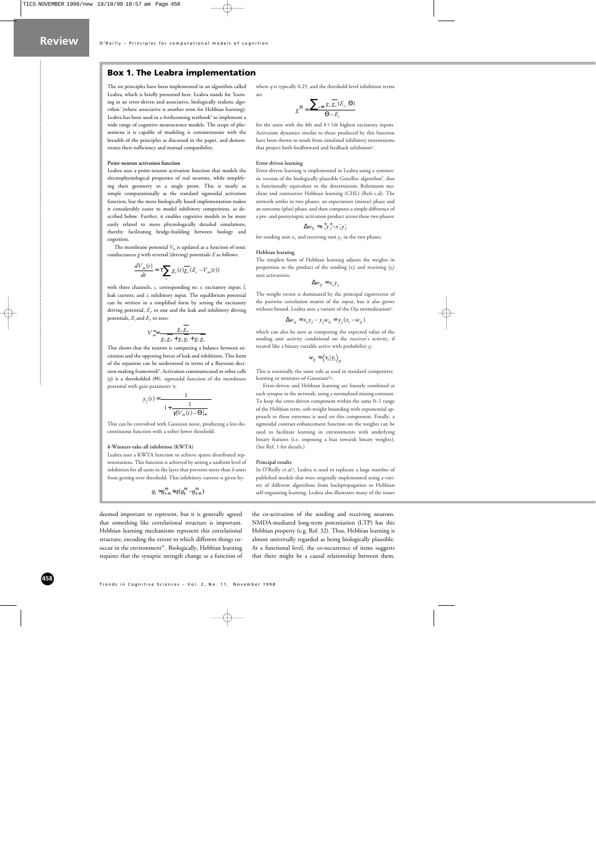**458**

# **Box 1. The Leabra implementation**

The six principles have been implemented in an algorithm called Leabra, which is briefly presented here. Leabra stands for 'learning in an error-driven and associative, biologically realistic algorithm' (where associative is another term for Hebbian learning). Leabra has been used in a forthcoming textbook<sup>a</sup> to implement a wide range of cognitive neuroscience models. The scope of phenomena it is capable of modeling is commensurate with the breadth of the principles as discussed in the paper, and demonstrates their sufficiency and mutual compatibility.

#### **Point-neuron activation function**

Leabra uses a point-neuron activation function that models the electrophysiological properties of real neurons, while simplifying their geometry to a single point. This is nearly as simple computationally as the standard sigmoidal activation function, but the more biologically based implementation makes it considerably easier to model inhibitory competition, as described below. Further, it enables cognitive models to be more easily related to more physiologically detailed simulations, thereby facilitating bridge-building between biology and cognition.

The membrane potential  $V_m$  is updated as a function of ionic conductances *g* with reversal (driving) potentials *E* as follows:

$$
\frac{dV_m(t)}{dt} = \tau \sum_c g_c(t) \overline{g_c}(E_c - V_m(t))
$$

with three channels, *c*, corresponding to: *e*, excitatory input; *l*, leak current; and *i*, inhibitory input. The equilibrium potential can be written in a simplified form by setting the excitatory driving potential,  $E_e$ , to one and the leak and inhibitory driving potentials, *El* and *Ei* , to zero:

$$
V_{m}^{\infty} = \frac{g_e g_e}{g_e g_e + g_i g_i + g_i g_i}
$$

This shows that the neuron is computing a balance between excitation and the opposing forces of leak and inhibition. This form of the equation can be understood in terms of a Bayesian decision-making framework<sup>a</sup>. Activation communicated to other cells (*y*) is a thresholded (Q), sigmoidal function of the membrane potential with gain parameter  $\gamma$ :

$$
y_j(t) = \frac{1}{\left(1 + \frac{1}{\gamma[V_m(t) - \Theta]_+}\right)}
$$

This can be convolved with Gaussian noise, producing a less discontinuous function with a softer lower threshold.

#### *k***-Winners-take-all inhibition (KWTA)**

Leabra uses a KWTA function to achieve sparse distributed representations. This function is achieved by setting a uniform level of inhibition for all units in the layer that prevents more than *k* units from getting over threshold. This inhibitory current is given by:

$$
g_i = g_{k+1}^{\Theta} + q(g_k^{\Theta} - g_{k+1}^{\Theta})
$$

deemed important to represent, but it is generally agreed that something like correlational structure is important. Hebbian learning mechanisms represent this correlational structure, encoding the extent to which different things cooccur in the environment<sup>31</sup>. Biologically, Hebbian learning requires that the synaptic strength change as a function of where  $q$  is typically 0.25, and the threshold-level inhibition terms are

$$
g^{\Theta} = \frac{\sum_{c \neq i} g_c \overline{g_c} (E_c - \Theta)}{\Theta - E_i}
$$

for the units with the  $k$ th and  $k+1$ th highest excitatory inputs. Activation dynamics similar to those produced by this function have been shown to result from simulated inhibitory interneurons that project both feedforward and feedback inhibition<sup>a</sup>.

#### **Error-driven learning**

Error-driven learning is implemented in Leabra using a symmetric version of the biologically plausible GeneRec algorithm<sup>b</sup>, that is functionally equivalent to the deterministic Boltzmann machine and contrastive Hebbian learning (CHL) (Refs c,d). The network settles in two phases, an expectation (minus) phase and an outcome (plus) phase, and then computes a simple difference of a pre- and postsynaptic activation product across these two phases:

$$
\Delta w_{ij} = x_{i}^{+} y_{j}^{+} - x_{i}^{-} y_{j}^{-}
$$

for sending unit  $x_i$ , and receiving unit  $y_j$ , in the two phases.

#### **Hebbian learning**

The simplest form of Hebbian learning adjusts the weights in proportion to the product of the sending  $(x_i)$  and receiving  $(y_j)$ unit activations:

$$
\Delta w_{ij} = x_i y_j
$$

The weight vector is dominated by the principal eigenvector of the pairwise correlation matrix of the input, but it also grows without bound. Leabra uses a variant of the Oja normalization<sup>e</sup>:

$$
\Delta w_{ij} = x_i y_j - y_j w_{ij} = y_j (x_i - w_{ij})
$$

which can also be seen as computing the expected value of the sending unit activity conditional on the receiver's activity, if treated like a binary variable active with probability *yj* :

$$
w_{ij} \approx \left\langle x_i | y_i \right\rangle_p
$$

This is essentially the same rule as used in standard competitive learning or mixtures-of-Gaussians<sup>f,g</sup>.

Error-driven and Hebbian learning are linearly combined at each synapse in the network, using a normalized mixing constant. To keep the error-driven component within the same 0–1 range of the Hebbian term, soft-weight bounding with exponential approach to these extremes is used on this component. Finally, a sigmoidal contrast-enhancement function on the weights can be used to facilitate learning in environments with underlying binary features (i.e. imposing a bias towards binary weights). (See Ref. 1 for details.)

#### **Principal results**

In O'Reilly et al.<sup>a</sup>, Leabra is used to replicate a large number of published models that were originally implemented using a variety of different algorithms from backpropagation to Hebbian self-organizing learning. Leabra also illustrates many of the issues

the co-activation of the sending and receiving neurons. NMDA-mediated long-term potentiation (LTP) has this Hebbian property (e.g. Ref. 32). Thus, Hebbian learning is almost universally regarded as being biologically plausible. At a functional level, the co-occurrence of items suggests that there might be a causal relationship between them.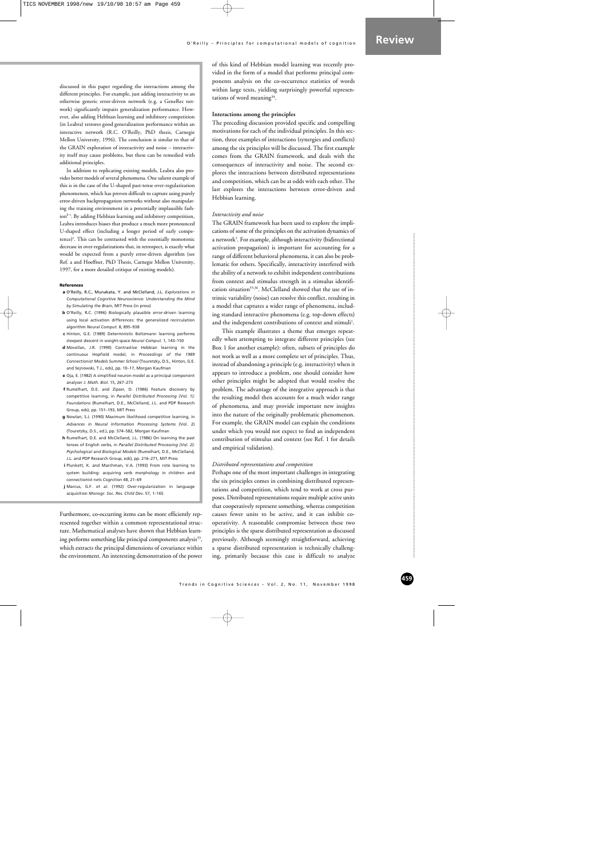discussed in this paper regarding the interactions among the different principles. For example, just adding interactivity to an otherwise generic error-driven network (e.g. a GeneRec network) significantly impairs generalization performance. However, also adding Hebbian learning and inhibitory competition (in Leabra) restores good generalization performance within an interactive network (R.C. O'Reilly, PhD thesis, Carnegie Mellon University, 1996). The conclusion is similar to that of the GRAIN exploration of interactivity and noise – interactivity itself may cause problems, but these can be remedied with additional principles.

In addition to replicating existing models, Leabra also provides better models of several phenomena. One salient example of this is in the case of the U-shaped past-tense over-regularization phenomenon, which has proven difficult to capture using purely error-driven backpropagation networks without also manipulating the training environment in a potentially implausible fashion<sup>h-j</sup>. By adding Hebbian learning and inhibitory competition, Leabra introduces biases that produce a much more pronounced U-shaped effect (including a longer period of early competence)<sup>a</sup>. This can be contrasted with the essentially monotonic decrease in over-regularizations that, in retrospect, is exactly what would be expected from a purely error-driven algorithm (see Ref. a and Hoeffner, PhD Thesis, Carnegie Mellon University, 1997, for a more detailed critique of existing models).

#### **References**

- **a** O'Reilly, R.C., Munakata, Y. and McClelland, J.L. *Explorations in Computational Cognitive Neuroscience: Understanding the Mind by Simulating the Brain*, MIT Press (in press)
- **b** O'Reilly, R.C. (1996) Biologically plausible error-driven learning using local activation differences: the generalized recirculation algorithm *Neural Comput.* 8, 895–938
- **c** Hinton, G.E. (1989) Deterministic Boltzmann learning performs steepest descent in weight-space *Neural Comput.* 1, 143–150
- **d** Movellan, J.R. (1990) Contrastive Hebbian learning in the continuous Hopfield model, in *Proceedings of the 1989 Connectionist Models Summer School* (Touretzky, D.S., Hinton, G.E. and Sejnowski, T.J., eds), pp. 10–17, Morgan Kaufman
- **e** Oja, E. (1982) A simplified neuron model as a principal component analyser *J. Math. Biol.* 15, 267–273
- **f** Rumelhart, D.E. and Zipser, D. (1986) Feature discovery by competitive learning, in *Parallel Distributed Processing (Vol. 1): Foundations* (Rumelhart, D.E., McClelland, J.L. and PDP Research Group, eds), pp. 151–193, MIT Press
- **g** Nowlan, S.J. (1990) Maximum likelihood competitive learning, in *Advances in Neural Information Processing Systems* (Vol. 2) (Touretzky, D.S., ed.), pp. 574–582, Morgan Kaufman
- **h** Rumelhart, D.E. and McClelland, J.L. (1986) On learning the past tenses of English verbs, in *Parallel Distributed Processing (Vol. 2): Psychological and Biological Models* (Rumelhart, D.E., McClelland, J.L. and PDP Research Group, eds), pp. 216–271, MIT Press
- **i** Plunkett, K. and Marchman, V.A. (1993) From rote learning to system building: acquiring verb morphology in children and connectionist nets *Cognition* 48, 21–69
- **j** Marcus, G.F. *et al.* (1992) Over-regularization in language acquisition *Monogr. Soc. Res. Child Dev.* 57, 1–165

Furthermore, co-occurring items can be more efficiently represented together within a common representational structure. Mathematical analyses have shown that Hebbian learning performs something like principal components analysis<sup>33</sup>, which extracts the principal dimensions of covariance within the environment. An interesting demonstration of the power of this kind of Hebbian model learning was recently provided in the form of a model that performs principal components analysis on the co-occurrence statistics of words within large texts, yielding surprisingly powerful representations of word meaning<sup>34</sup>.

#### **Interactions among the principles**

The preceding discussion provided specific and compelling motivations for each of the individual principles. In this section, three examples of interactions (synergies and conflicts) among the six principles will be discussed. The first example comes from the GRAIN framework, and deals with the consequences of interactivity and noise. The second explores the interactions between distributed representations and competition, which can be at odds with each other. The last explores the interactions between error-driven and Hebbian learning.

#### *Interactivity and noise*

The GRAIN framework has been used to explore the implications of some of the principles on the activation dynamics of a network<sup>1</sup>. For example, although interactivity (bidirectional activation propagation) is important for accounting for a range of different behavioral phenomena, it can also be problematic for others. Specifically, interactivity interfered with the ability of a network to exhibit independent contributions from context and stimulus strength in a stimulus identification situation<sup>35,36</sup>. McClelland showed that the use of intrinsic variability (noise) can resolve this conflict, resulting in a model that captures a wider range of phenomena, including standard interactive phenomena (e.g. top-down effects) and the independent contributions of context and stimuli<sup>1</sup>.

This example illustrates a theme that emerges repeatedly when attempting to integrate different principles (see Box 1 for another example): often, subsets of principles do not work as well as a more complete set of principles. Thus, instead of abandoning a principle (e.g. interactivity) when it appears to introduce a problem, one should consider how other principles might be adopted that would resolve the problem. The advantage of the integrative approach is that the resulting model then accounts for a much wider range of phenomena, and may provide important new insights into the nature of the originally problematic phenomenon. For example, the GRAIN model can explain the conditions under which you would not expect to find an independent contribution of stimulus and context (see Ref. 1 for details and empirical validation).

#### *Distributed representations and competition*

Perhaps one of the most important challenges in integrating the six principles comes in combining distributed representations and competition, which tend to work at cross purposes. Distributed representations require multiple active units that cooperatively represent something, whereas competition causes fewer units to be active, and it can inhibit cooperativity. A reasonable compromise between these two principles is the sparse distributed representation as discussed previously. Although seemingly straightforward, achieving a sparse distributed representation is technically challenging, primarily because this case is difficult to analyze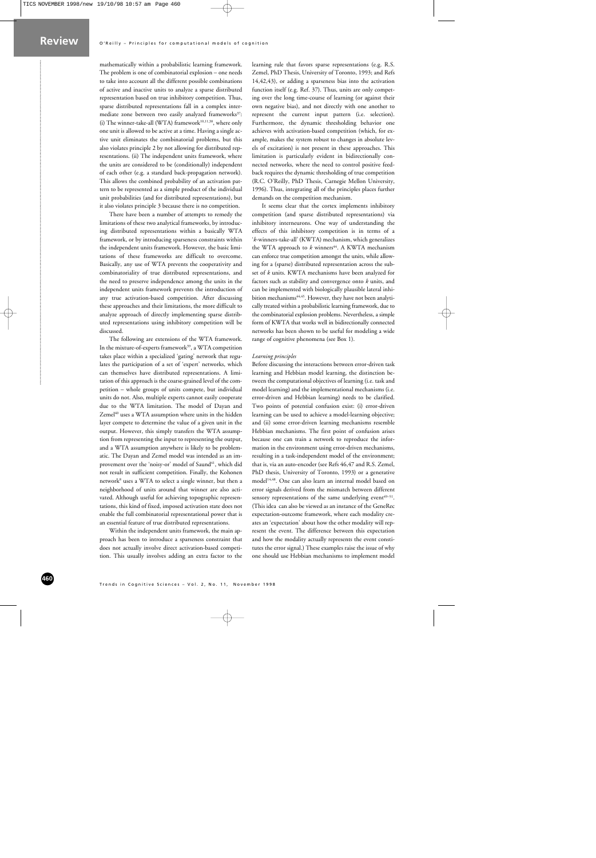mathematically within a probabilistic learning framework. The problem is one of combinatorial explosion – one needs to take into account all the different possible combinations of active and inactive units to analyze a sparse distributed representation based on true inhibitory competition. Thus, sparse distributed representations fall in a complex intermediate zone between two easily analyzed frameworks<sup>37</sup>: (i) The winner-take-all (WTA) framework $^{10,11,38}$ , where only one unit is allowed to be active at a time. Having a single active unit eliminates the combinatorial problems, but this also violates principle 2 by not allowing for distributed representations. (ii) The independent units framework, where the units are considered to be (conditionally) independent of each other (e.g. a standard back-propagation network). This allows the combined probability of an activation pattern to be represented as a simple product of the individual unit probabilities (and for distributed representations), but it also violates principle 3 because there is no competition.

There have been a number of attempts to remedy the limitations of these two analytical frameworks, by introducing distributed representations within a basically WTA framework, or by introducing sparseness constraints within the independent units framework. However, the basic limitations of these frameworks are difficult to overcome. Basically, any use of WTA prevents the cooperativity and combinatoriality of true distributed representations, and the need to preserve independence among the units in the independent units framework prevents the introduction of any true activation-based competition. After discussing these approaches and their limitations, the more difficult to analyze approach of directly implementing sparse distributed representations using inhibitory competition will be discussed.

The following are extensions of the WTA framework. In the mixture-of-experts framework<sup>39</sup>, a WTA competition takes place within a specialized 'gating' network that regulates the participation of a set of 'expert' networks, which can themselves have distributed representations. A limitation of this approach is the coarse-grained level of the competition – whole groups of units compete, but individual units do not. Also, multiple experts cannot easily cooperate due to the WTA limitation. The model of Dayan and Zemel<sup>40</sup> uses a WTA assumption where units in the hidden layer compete to determine the value of a given unit in the output. However, this simply transfers the WTA assumption from representing the input to representing the output, and a WTA assumption anywhere is likely to be problematic. The Dayan and Zemel model was intended as an improvement over the 'noisy-or' model of Saund<sup>41</sup>, which did not result in sufficient competition. Finally, the Kohonen network<sup>8</sup> uses a WTA to select a single winner, but then a neighborhood of units around that winner are also activated. Although useful for achieving topographic representations, this kind of fixed, imposed activation state does not enable the full combinatorial representational power that is an essential feature of true distributed representations.

Within the independent units framework, the main approach has been to introduce a sparseness constraint that does not actually involve direct activation-based competition. This usually involves adding an extra factor to the learning rule that favors sparse representations (e.g. R.S. Zemel, PhD Thesis, University of Toronto, 1993; and Refs 14,42,43), or adding a sparseness bias into the activation function itself (e.g. Ref. 37). Thus, units are only competing over the long time-course of learning (or against their own negative bias), and not directly with one another to represent the current input pattern (i.e. selection). Furthermore, the dynamic thresholding behavior one achieves with activation-based competition (which, for example, makes the system robust to changes in absolute levels of excitation) is not present in these approaches. This limitation is particularly evident in bidirectionally connected networks, where the need to control positive feedback requires the dynamic thresholding of true competition (R.C. O'Reilly, PhD Thesis, Carnegie Mellon University, 1996). Thus, integrating all of the principles places further demands on the competition mechanism.

It seems clear that the cortex implements inhibitory competition (and sparse distributed representations) via inhibitory interneurons. One way of understanding the effects of this inhibitory competition is in terms of a '*k*-winners-take-all' (KWTA) mechanism, which generalizes the WTA approach to  $k$  winners<sup>44</sup>. A KWTA mechanism can enforce true competition amongst the units, while allowing for a (sparse) distributed representation across the subset of *k* units. KWTA mechanisms have been analyzed for factors such as stability and convergence onto *k* units, and can be implemented with biologically plausible lateral inhibition mechanisms<sup>44,45</sup>. However, they have not been analytically treated within a probabilistic learning framework, due to the combinatorial explosion problems. Nevertheless, a simple form of KWTA that works well in bidirectionally connected networks has been shown to be useful for modeling a wide range of cognitive phenomena (see Box 1).

#### *Learning principles*

Before discussing the interactions between error-driven task learning and Hebbian model learning, the distinction between the computational objectives of learning (i.e. task and model learning) and the implementational mechanisms (i.e. error-driven and Hebbian learning) needs to be clarified. Two points of potential confusion exist: (i) error-driven learning can be used to achieve a model-learning objective; and (ii) some error-driven learning mechanisms resemble Hebbian mechanisms. The first point of confusion arises because one can train a network to reproduce the information in the environment using error-driven mechanisms, resulting in a task-independent model of the environment; that is, via an auto-encoder (see Refs 46,47 and R.S. Zemel, PhD thesis, University of Toronto, 1993) or a generative model14,48. One can also learn an internal model based on error signals derived from the mismatch between different sensory representations of the same underlying event<sup>49–51</sup>. (This idea can also be viewed as an instance of the GeneRec expectation-outcome framework, where each modality creates an 'expectation' about how the other modality will represent the event. The difference between this expectation and how the modality actually represents the event constitutes the error signal.) These examples raise the issue of why one should use Hebbian mechanisms to implement model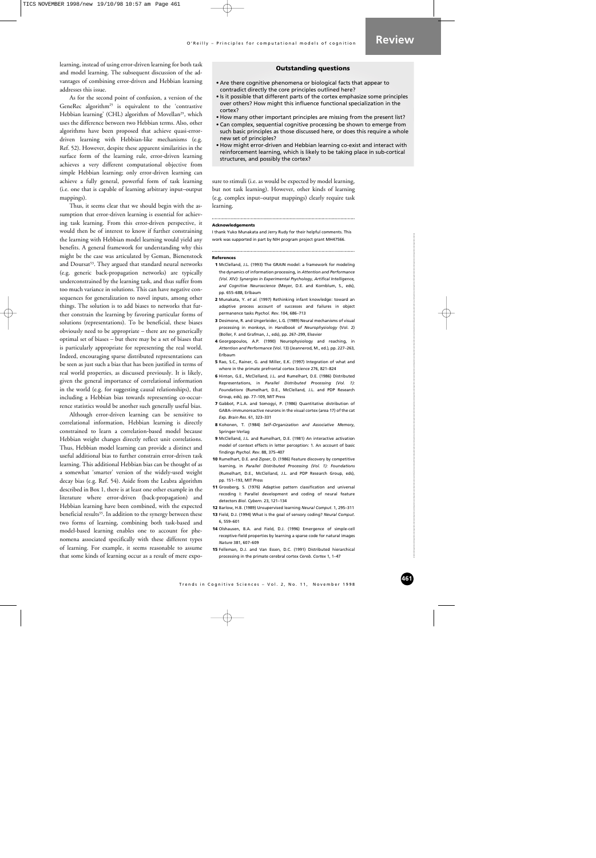learning, instead of using error-driven learning for both task and model learning. The subsequent discussion of the advantages of combining error-driven and Hebbian learning addresses this issue.

As for the second point of confusion, a version of the GeneRec algorithm25 is equivalent to the 'contrastive Hebbian learning' (CHL) algorithm of Movellan<sup>29</sup>, which uses the difference between two Hebbian terms. Also, other algorithms have been proposed that achieve quasi-errordriven learning with Hebbian-like mechanisms (e.g. Ref. 52). However, despite these apparent similarities in the surface form of the learning rule, error-driven learning achieves a very different computational objective from simple Hebbian learning; only error-driven learning can achieve a fully general, powerful form of task learning (i.e. one that is capable of learning arbitrary input–output mappings).

Thus, it seems clear that we should begin with the assumption that error-driven learning is essential for achieving task learning. From this error-driven perspective, it would then be of interest to know if further constraining the learning with Hebbian model learning would yield any benefits. A general framework for understanding why this might be the case was articulated by Geman, Bienenstock and Doursat<sup>53</sup>. They argued that standard neural networks (e.g. generic back-propagation networks) are typically underconstrained by the learning task, and thus suffer from too much variance in solutions. This can have negative consequences for generalization to novel inputs, among other things. The solution is to add biases to networks that further constrain the learning by favoring particular forms of solutions (representations). To be beneficial, these biases obviously need to be appropriate – there are no generically optimal set of biases – but there may be a set of biases that is particularly appropriate for representing the real world. Indeed, encouraging sparse distributed representations can be seen as just such a bias that has been justified in terms of real world properties, as discussed previously. It is likely, given the general importance of correlational information in the world (e.g. for suggesting causal relationships), that including a Hebbian bias towards representing co-occurrence statistics would be another such generally useful bias.

Although error-driven learning can be sensitive to correlational information, Hebbian learning is directly constrained to learn a correlation-based model because Hebbian weight changes directly reflect unit correlations. Thus, Hebbian model learning can provide a distinct and useful additional bias to further constrain error-driven task learning. This additional Hebbian bias can be thought of as a somewhat 'smarter' version of the widely-used weight decay bias (e.g. Ref. 54). Aside from the Leabra algorithm described in Box 1, there is at least one other example in the literature where error-driven (back-propagation) and Hebbian learning have been combined, with the expected beneficial results<sup>55</sup>. In addition to the synergy between these two forms of learning, combining both task-based and model-based learning enables one to account for phenomena associated specifically with these different types of learning. For example, it seems reasonable to assume that some kinds of learning occur as a result of mere expo-

#### **Outstanding questions**

- Are there cognitive phenomena or biological facts that appear to contradict directly the core principles outlined here?
- Is it possible that different parts of the cortex emphasize some principles over others? How might this influence functional specialization in the cortex?
- How many other important principles are missing from the present list?
- Can complex, sequential cognitive processing be shown to emerge from such basic principles as those discussed here, or does this require a whole new set of principles?
- How might error-driven and Hebbian learning co-exist and interact with reinforcement learning, which is likely to be taking place in sub-cortical structures, and possibly the cortex?

sure to stimuli (i.e. as would be expected by model learning, but not task learning). However, other kinds of learning (e.g. complex input–output mappings) clearly require task learning.

#### **Acknowledgements**

I thank Yuko Munakata and Jerry Rudy for their helpful comments. This work was supported in part by NIH program project grant MH47566.

#### **References**

- **1** McClelland, J.L. (1993) The GRAIN model: a framework for modeling the dynamics of information processing, in *Attention and Performance (Vol. XIV): Synergies in Experimental Psychology, Artifical Intelligence, and Cognitive Neuroscience* (Meyer, D.E. and Kornblum, S., eds), pp. 655–688, Erlbaum
- **2** Munakata, Y. *et al.* (1997) Rethinking infant knowledge: toward an adaptive process account of successes and failures in object permanence tasks *Psychol. Rev*. 104, 686–713
- **3** Desimone, R. and Ungerleider, L.G. (1989) Neural mechanisms of visual processing in monkeys, in *Handbook of Neurophysiology* (Vol. 2) (Boller, F. and Grafman, J., eds), pp. 267–299, Elsevier
- **4** Georgopoulos, A.P. (1990) Neurophysiology and reaching, in *Attention and Performance* (Vol. 13) (Jeannerod, M., ed.), pp. 227–263, Erlbaum
- **5** Rao, S.C., Rainer, G. and Miller, E.K. (1997) Integration of what and where in the primate prefrontal cortex *Science* 276, 821–824
- **6** Hinton, G.E., McClelland, J.L. and Rumelhart, D.E. (1986) Distributed Representations, in *Parallel Distributed Processing (Vol. 1): Foundations* (Rumelhart, D.E., McClelland, J.L. and PDP Research Group, eds), pp. 77–109, MIT Press
- **7** Gabbot, P.L.A. and Somogyi, P. (1986) Quantitative distribution of GABA–immunoreactive neurons in the visual cortex (area 17) of the cat *Exp. Brain Res*. 61, 323–331
- **8** Kohonen, T. (1984) *Self–Organization and Associative Memory*, Springer-Verlag
- **9** McClelland, J.L. and Rumelhart, D.E. (1981) An interactive activation model of context effects in letter perception: 1. An account of basic findings *Psychol. Rev*. 88, 375–407
- **10** Rumelhart, D.E. and Zipser, D. (1986) Feature discovery by competitive learning, in *Parallel Distributed Processing (Vol. 1): Foundations* (Rumelhart, D.E., McClelland, J.L. and PDP Research Group, eds), pp. 151–193, MIT Press
- **11** Grossberg, S. (1976) Adaptive pattern classification and universal recoding I: Parallel development and coding of neural feature detectors *Biol. Cybern.* 23, 121–134
- **12** Barlow, H.B. (1989) Unsupervised learning *Neural Comput*. 1, 295–311
- **13** Field, D.J. (1994) What is the goal of sensory coding? *Neural Comput*. 6, 559–601
- **14** Olshausen, B.A. and Field, D.J. (1996) Emergence of simple-cell receptive-field properties by learning a sparse code for natural images *Nature* 381, 607–609
- **15** Felleman, D.J. and Van Essen, D.C. (1991) Distributed hierarchical processing in the primate cerebral cortex *Cereb. Cortex* 1, 1–47